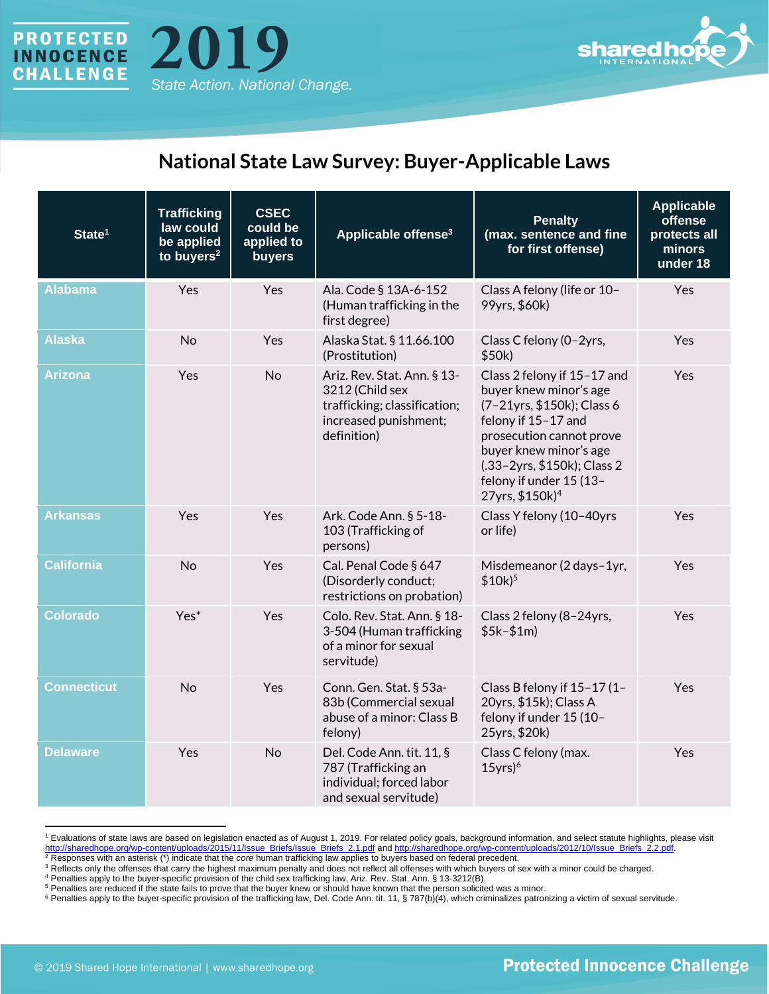



## **National State Law Survey: Buyer-Applicable Laws**

| State <sup>1</sup> | <b>Trafficking</b><br>law could<br>be applied<br>to buyers $2$ | <b>CSEC</b><br>could be<br>applied to<br>buyers | Applicable offense <sup>3</sup>                                                                                        | <b>Penalty</b><br>(max. sentence and fine<br>for first offense)                                                                                                                                                                                           | <b>Applicable</b><br>offense<br>protects all<br>minors<br>under 18 |
|--------------------|----------------------------------------------------------------|-------------------------------------------------|------------------------------------------------------------------------------------------------------------------------|-----------------------------------------------------------------------------------------------------------------------------------------------------------------------------------------------------------------------------------------------------------|--------------------------------------------------------------------|
| <b>Alabama</b>     | Yes                                                            | Yes                                             | Ala. Code § 13A-6-152<br>(Human trafficking in the<br>first degree)                                                    | Class A felony (life or 10-<br>99yrs, \$60k)                                                                                                                                                                                                              | <b>Yes</b>                                                         |
| Alaska             | <b>No</b>                                                      | Yes                                             | Alaska Stat. § 11.66.100<br>(Prostitution)                                                                             | Class C felony (0-2yrs,<br>\$50k)                                                                                                                                                                                                                         | Yes                                                                |
| <b>Arizona</b>     | Yes                                                            | <b>No</b>                                       | Ariz. Rev. Stat. Ann. § 13-<br>3212 (Child sex<br>trafficking; classification;<br>increased punishment;<br>definition) | Class 2 felony if 15-17 and<br>buyer knew minor's age<br>(7-21yrs, \$150k); Class 6<br>felony if 15-17 and<br>prosecution cannot prove<br>buyer knew minor's age<br>(.33-2yrs, \$150k); Class 2<br>felony if under 15 (13-<br>27yrs, \$150k) <sup>4</sup> | Yes                                                                |
| Arkansas           | Yes                                                            | Yes                                             | Ark. Code Ann. § 5-18-<br>103 (Trafficking of<br>persons)                                                              | Class Y felony (10-40yrs<br>or life)                                                                                                                                                                                                                      | <b>Yes</b>                                                         |
| <b>California</b>  | <b>No</b>                                                      | Yes                                             | Cal. Penal Code § 647<br>(Disorderly conduct;<br>restrictions on probation)                                            | Misdemeanor (2 days-1yr,<br>$$10k$ <sup>5</sup>                                                                                                                                                                                                           | Yes                                                                |
| <b>Colorado</b>    | $Yes*$                                                         | Yes                                             | Colo. Rev. Stat. Ann. § 18-<br>3-504 (Human trafficking<br>of a minor for sexual<br>servitude)                         | Class 2 felony (8-24yrs,<br>$$5k-$1m)$                                                                                                                                                                                                                    | Yes                                                                |
| <b>Connecticut</b> | <b>No</b>                                                      | Yes                                             | Conn. Gen. Stat. § 53a-<br>83b (Commercial sexual<br>abuse of a minor: Class B<br>felony)                              | Class B felony if 15-17 (1-<br>20yrs, \$15k); Class A<br>felony if under 15 (10-<br>25yrs, \$20k)                                                                                                                                                         | Yes                                                                |
| <b>Delaware</b>    | Yes                                                            | <b>No</b>                                       | Del. Code Ann. tit. 11, §<br>787 (Trafficking an<br>individual; forced labor<br>and sexual servitude)                  | Class C felony (max.<br>$15$ yrs) <sup>6</sup>                                                                                                                                                                                                            | Yes                                                                |

<sup>&</sup>lt;sup>1</sup> Evaluations of state laws are based on legislation enacted as of August 1, 2019. For related policy goals, background information, and select statute highlights, please visit http://sharedhope.org/wp-content/uploads/20 [http://sharedhope.org/wp-content/uploads/2015/11/Issue\\_Briefs/Issue\\_Briefs\\_2.1.pdf](http://sharedhope.org/wp-content/uploads/2015/11/Issue_Briefs/Issue_Briefs_2.1.pdf) and http://sharedhope.org/wp-content/uploads/2012/10/Issue\_Briefs\_2.2.pdf

<sup>2</sup> Responses with an asterisk (\*) indicate that the *core* human trafficking law applies to buyers based on federal precedent.

<sup>&</sup>lt;sup>3</sup> Reflects only the offenses that carry the highest maximum penalty and does not reflect all offenses with which buyers of sex with a minor could be charged.

<sup>4</sup> Penalties apply to the buyer-specific provision of the child sex trafficking law, Ariz. Rev. Stat. Ann. § 13-3212(B).

<sup>5</sup> Penalties are reduced if the state fails to prove that the buyer knew or should have known that the person solicited was a minor.

<sup>&</sup>lt;sup>6</sup> Penalties apply to the buyer-specific provision of the trafficking law, Del. Code Ann. tit. 11, § 787(b)(4), which criminalizes patronizing a victim of sexual servitude.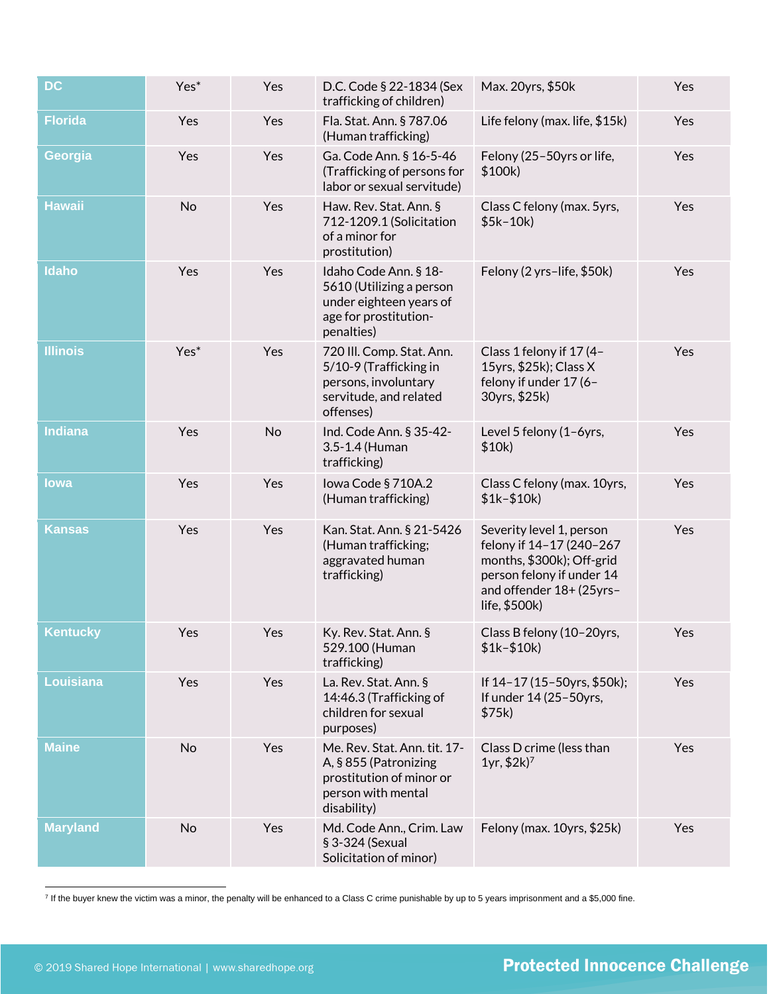| <b>DC</b>       | Yes* | Yes | D.C. Code § 22-1834 (Sex<br>trafficking of children)                                                                   | Max. 20yrs, \$50k                                                                                                                                           | Yes |
|-----------------|------|-----|------------------------------------------------------------------------------------------------------------------------|-------------------------------------------------------------------------------------------------------------------------------------------------------------|-----|
| <b>Florida</b>  | Yes  | Yes | Fla. Stat. Ann. § 787.06<br>(Human trafficking)                                                                        | Life felony (max. life, \$15k)                                                                                                                              | Yes |
| Georgia         | Yes  | Yes | Ga. Code Ann. § 16-5-46<br>(Trafficking of persons for<br>labor or sexual servitude)                                   | Felony (25-50yrs or life,<br>\$100k)                                                                                                                        | Yes |
| <b>Hawaii</b>   | No   | Yes | Haw. Rev. Stat. Ann. §<br>712-1209.1 (Solicitation<br>of a minor for<br>prostitution)                                  | Class C felony (max. 5yrs,<br>$$5k-10k)$                                                                                                                    | Yes |
| Idaho           | Yes  | Yes | Idaho Code Ann. § 18-<br>5610 (Utilizing a person<br>under eighteen years of<br>age for prostitution-<br>penalties)    | Felony (2 yrs-life, \$50k)                                                                                                                                  | Yes |
| <b>Illinois</b> | Yes* | Yes | 720 III. Comp. Stat. Ann.<br>5/10-9 (Trafficking in<br>persons, involuntary<br>servitude, and related<br>offenses)     | Class 1 felony if 17 (4-<br>15yrs, \$25k); Class X<br>felony if under 17 (6-<br>30yrs, \$25k)                                                               | Yes |
| Indiana         | Yes  | No  | Ind. Code Ann. § 35-42-<br>3.5-1.4 (Human<br>trafficking)                                                              | Level 5 felony (1-6yrs,<br>\$10k)                                                                                                                           | Yes |
| lowa            | Yes  | Yes | lowa Code § 710A.2<br>(Human trafficking)                                                                              | Class C felony (max. 10yrs,<br>$$1k-$10k)$                                                                                                                  | Yes |
| <b>Kansas</b>   | Yes  | Yes | Kan. Stat. Ann. § 21-5426<br>(Human trafficking;<br>aggravated human<br>trafficking)                                   | Severity level 1, person<br>felony if 14-17 (240-267<br>months, \$300k); Off-grid<br>person felony if under 14<br>and offender 18+ (25yrs-<br>life, \$500k) | Yes |
| <b>Kentucky</b> | Yes  | Yes | Ky. Rev. Stat. Ann. §<br>529.100 (Human<br>trafficking)                                                                | Class B felony (10-20yrs,<br>$$1k-$10k)$                                                                                                                    | Yes |
| Louisiana       | Yes  | Yes | La. Rev. Stat. Ann. §<br>14:46.3 (Trafficking of<br>children for sexual<br>purposes)                                   | If 14-17 (15-50yrs, \$50k);<br>If under 14 (25-50yrs,<br>\$75k)                                                                                             | Yes |
| <b>Maine</b>    | No   | Yes | Me. Rev. Stat. Ann. tit. 17-<br>A, § 855 (Patronizing<br>prostitution of minor or<br>person with mental<br>disability) | Class D crime (less than<br>$1yr, $2k$ <sup>7</sup>                                                                                                         | Yes |
| <b>Maryland</b> | No   | Yes | Md. Code Ann., Crim. Law<br>§ 3-324 (Sexual<br>Solicitation of minor)                                                  | Felony (max. 10yrs, \$25k)                                                                                                                                  | Yes |

<sup>7</sup> If the buyer knew the victim was a minor, the penalty will be enhanced to a Class C crime punishable by up to 5 years imprisonment and a \$5,000 fine.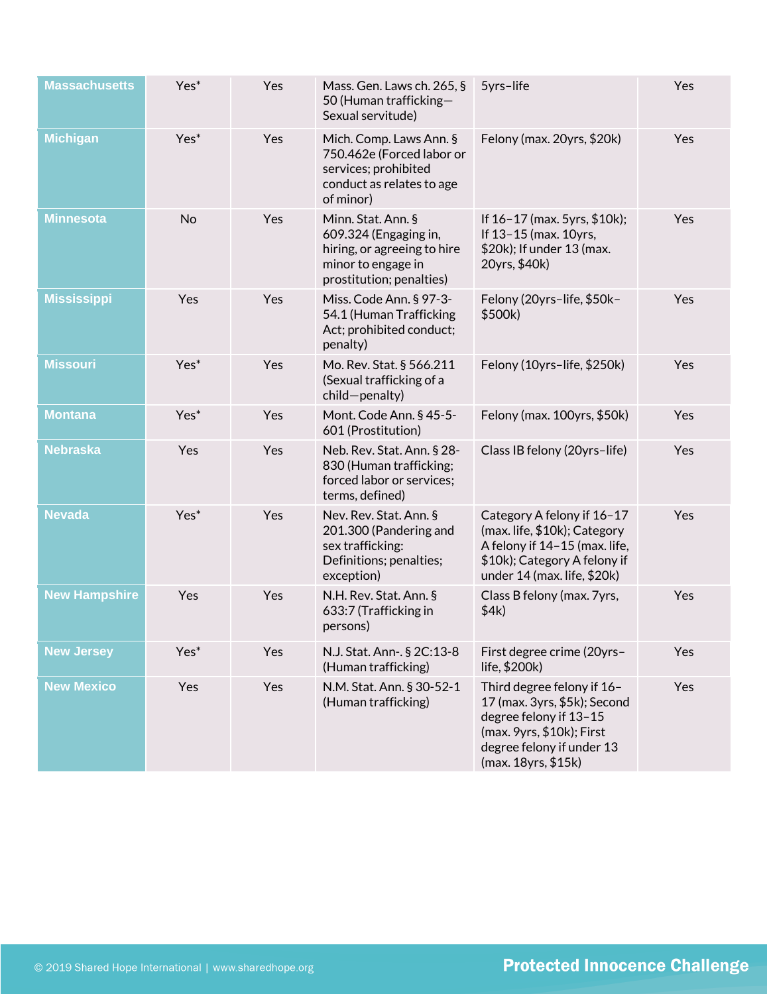| <b>Massachusetts</b> | Yes* | Yes | Mass. Gen. Laws ch. 265, §<br>50 (Human trafficking-<br>Sexual servitude)                                                    | 5yrs-life                                                                                                                                                             | Yes |
|----------------------|------|-----|------------------------------------------------------------------------------------------------------------------------------|-----------------------------------------------------------------------------------------------------------------------------------------------------------------------|-----|
| <b>Michigan</b>      | Yes* | Yes | Mich. Comp. Laws Ann. §<br>750.462e (Forced labor or<br>services; prohibited<br>conduct as relates to age<br>of minor)       | Felony (max. 20yrs, \$20k)                                                                                                                                            | Yes |
| <b>Minnesota</b>     | No   | Yes | Minn. Stat. Ann. §<br>609.324 (Engaging in,<br>hiring, or agreeing to hire<br>minor to engage in<br>prostitution; penalties) | If $16 - 17$ (max. 5yrs, \$10k);<br>If 13-15 (max. 10yrs,<br>\$20k); If under 13 (max.<br>20yrs, \$40k)                                                               | Yes |
| <b>Mississippi</b>   | Yes  | Yes | Miss. Code Ann. § 97-3-<br>54.1 (Human Trafficking<br>Act; prohibited conduct;<br>penalty)                                   | Felony (20yrs-life, \$50k-<br>\$500k)                                                                                                                                 | Yes |
| <b>Missouri</b>      | Yes* | Yes | Mo. Rev. Stat. § 566.211<br>(Sexual trafficking of a<br>child-penalty)                                                       | Felony (10yrs-life, \$250k)                                                                                                                                           | Yes |
| <b>Montana</b>       | Yes* | Yes | Mont. Code Ann. § 45-5-<br>601 (Prostitution)                                                                                | Felony (max. 100yrs, \$50k)                                                                                                                                           | Yes |
| <b>Nebraska</b>      | Yes  | Yes | Neb. Rev. Stat. Ann. § 28-<br>830 (Human trafficking;<br>forced labor or services;<br>terms, defined)                        | Class IB felony (20yrs-life)                                                                                                                                          | Yes |
| <b>Nevada</b>        | Yes* | Yes | Nev. Rev. Stat. Ann. §<br>201.300 (Pandering and<br>sex trafficking:<br>Definitions; penalties;<br>exception)                | Category A felony if 16-17<br>(max. life, \$10k); Category<br>A felony if 14-15 (max. life,<br>\$10k); Category A felony if<br>under 14 (max. life, \$20k)            | Yes |
| <b>New Hampshire</b> | Yes  | Yes | N.H. Rev. Stat. Ann. §<br>633:7 (Trafficking in<br>persons)                                                                  | Class B felony (max. 7yrs,<br>\$4k)                                                                                                                                   | Yes |
| <b>New Jersey</b>    | Yes* | Yes | N.J. Stat. Ann-. § 2C:13-8<br>(Human trafficking)                                                                            | First degree crime (20yrs-<br>life, \$200k)                                                                                                                           | Yes |
| <b>New Mexico</b>    | Yes  | Yes | N.M. Stat. Ann. § 30-52-1<br>(Human trafficking)                                                                             | Third degree felony if 16-<br>17 (max. 3yrs, \$5k); Second<br>degree felony if 13-15<br>(max. 9yrs, \$10k); First<br>degree felony if under 13<br>(max. 18yrs, \$15k) | Yes |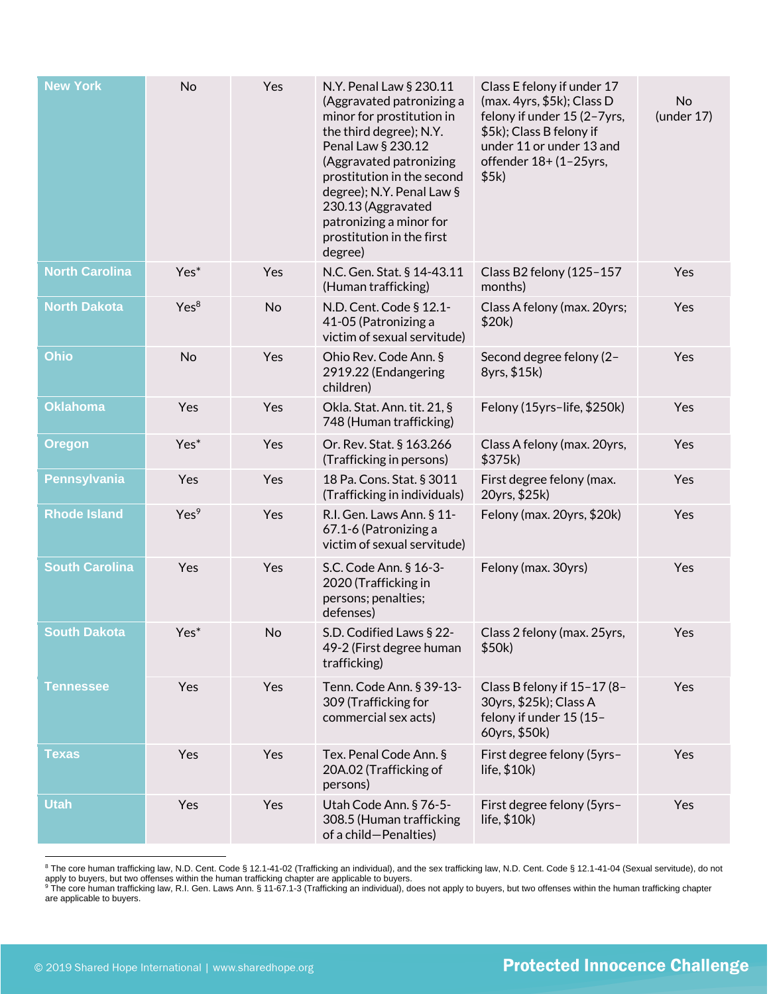| <b>New York</b>       | No               | Yes | N.Y. Penal Law § 230.11<br>(Aggravated patronizing a<br>minor for prostitution in<br>the third degree); N.Y.<br>Penal Law § 230.12<br>(Aggravated patronizing<br>prostitution in the second<br>degree); N.Y. Penal Law §<br>230.13 (Aggravated<br>patronizing a minor for<br>prostitution in the first<br>degree) | Class E felony if under 17<br>(max. 4yrs, \$5k); Class D<br>felony if under 15 (2-7yrs,<br>\$5k); Class B felony if<br>under 11 or under 13 and<br>offender 18+ (1-25yrs,<br>\$5k) | No<br>(under 17) |
|-----------------------|------------------|-----|-------------------------------------------------------------------------------------------------------------------------------------------------------------------------------------------------------------------------------------------------------------------------------------------------------------------|------------------------------------------------------------------------------------------------------------------------------------------------------------------------------------|------------------|
| <b>North Carolina</b> | Yes*             | Yes | N.C. Gen. Stat. § 14-43.11<br>(Human trafficking)                                                                                                                                                                                                                                                                 | Class B2 felony (125-157<br>months)                                                                                                                                                | Yes              |
| <b>North Dakota</b>   | Yes <sup>8</sup> | No  | N.D. Cent. Code § 12.1-<br>41-05 (Patronizing a<br>victim of sexual servitude)                                                                                                                                                                                                                                    | Class A felony (max. 20yrs;<br>\$20k)                                                                                                                                              | Yes              |
| Ohio                  | <b>No</b>        | Yes | Ohio Rev. Code Ann. §<br>2919.22 (Endangering<br>children)                                                                                                                                                                                                                                                        | Second degree felony (2-<br>8yrs, \$15k)                                                                                                                                           | Yes              |
| <b>Oklahoma</b>       | Yes              | Yes | Okla. Stat. Ann. tit. 21, §<br>748 (Human trafficking)                                                                                                                                                                                                                                                            | Felony (15yrs-life, \$250k)                                                                                                                                                        | Yes              |
| <b>Oregon</b>         | Yes*             | Yes | Or. Rev. Stat. § 163.266<br>(Trafficking in persons)                                                                                                                                                                                                                                                              | Class A felony (max. 20yrs,<br>\$375k)                                                                                                                                             | Yes              |
| <b>Pennsylvania</b>   | Yes              | Yes | 18 Pa. Cons. Stat. § 3011<br>(Trafficking in individuals)                                                                                                                                                                                                                                                         | First degree felony (max.<br>20yrs, \$25k)                                                                                                                                         | Yes              |
| <b>Rhode Island</b>   | Yes <sup>9</sup> | Yes | R.I. Gen. Laws Ann. § 11-<br>67.1-6 (Patronizing a<br>victim of sexual servitude)                                                                                                                                                                                                                                 | Felony (max. 20yrs, \$20k)                                                                                                                                                         | Yes              |
| <b>South Carolina</b> | Yes              | Yes | S.C. Code Ann. § 16-3-<br>2020 (Trafficking in<br>persons; penalties;<br>defenses)                                                                                                                                                                                                                                | Felony (max. 30yrs)                                                                                                                                                                | Yes              |
| <b>South Dakota</b>   | Yes*             | No  | S.D. Codified Laws § 22-<br>49-2 (First degree human<br>trafficking)                                                                                                                                                                                                                                              | Class 2 felony (max. 25yrs,<br>\$50k)                                                                                                                                              | Yes              |
| Tennessee             | Yes              | Yes | Tenn. Code Ann. § 39-13-<br>309 (Trafficking for<br>commercial sex acts)                                                                                                                                                                                                                                          | Class B felony if 15-17 (8-<br>30yrs, \$25k); Class A<br>felony if under 15 (15-<br>60yrs, \$50k)                                                                                  | Yes              |
| Texas                 | Yes              | Yes | Tex. Penal Code Ann. §<br>20A.02 (Trafficking of<br>persons)                                                                                                                                                                                                                                                      | First degree felony (5yrs-<br>life, $$10k)$                                                                                                                                        | Yes              |
| <b>Utah</b>           | Yes              | Yes | Utah Code Ann. § 76-5-<br>308.5 (Human trafficking<br>of a child-Penalties)                                                                                                                                                                                                                                       | First degree felony (5yrs-<br>life, $$10k)$                                                                                                                                        | Yes              |

<sup>&</sup>lt;sup>8</sup> The core human trafficking law, N.D. Cent. Code § 12.1-41-02 (Trafficking an individual), and the sex trafficking law, N.D. Cent. Code § 12.1-41-04 (Sexual servitude), do not apply to buyers, but two offenses within the human trafficking chapter are applicable to buyers.<br><sup>9</sup> The core human trafficking law, R.I. Gen. Laws Ann. § 11-67.1-3 (Trafficking an individual), does not apply to buyers, bu

are applicable to buyers.